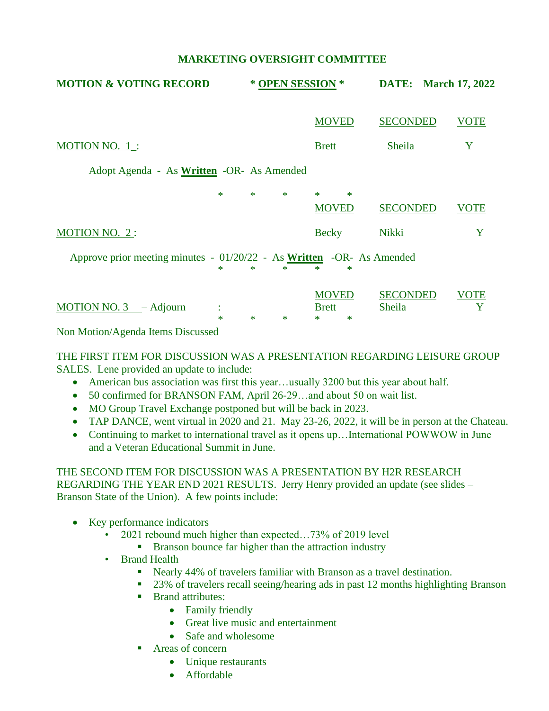## **MARKETING OVERSIGHT COMMITTEE**

| <b>MOTION &amp; VOTING RECORD</b>                                                                                                                                                                                                                                                                                                                 | * OPEN SESSION * |                                        | <b>DATE:</b> March 17, 2022 |             |  |  |  |
|---------------------------------------------------------------------------------------------------------------------------------------------------------------------------------------------------------------------------------------------------------------------------------------------------------------------------------------------------|------------------|----------------------------------------|-----------------------------|-------------|--|--|--|
|                                                                                                                                                                                                                                                                                                                                                   |                  | <b>MOVED</b>                           | <b>SECONDED</b>             | <b>VOTE</b> |  |  |  |
| MOTION NO. $1$ .:                                                                                                                                                                                                                                                                                                                                 |                  | <b>Brett</b>                           | Sheila                      | Y           |  |  |  |
| Adopt Agenda - As <b>Written</b> -OR- As Amended                                                                                                                                                                                                                                                                                                  |                  |                                        |                             |             |  |  |  |
| $\ast$                                                                                                                                                                                                                                                                                                                                            | $\ast$<br>$\ast$ | $*$<br>$\ast$<br><b>MOVED</b>          | <b>SECONDED</b>             | VOTE        |  |  |  |
| <b>MOTION NO. 2:</b>                                                                                                                                                                                                                                                                                                                              |                  | <b>Becky</b>                           | Nikki                       | Y           |  |  |  |
| Approve prior meeting minutes - 01/20/22 - As Written -OR- As Amended<br>$\ast$<br>*                                                                                                                                                                                                                                                              |                  |                                        |                             |             |  |  |  |
| MOTION NO. $3 -$ Adjourn<br>$\ast$<br>$\mathbf{r}$ , $\mathbf{r}$ , $\mathbf{r}$ , $\mathbf{r}$ , $\mathbf{r}$ , $\mathbf{r}$ , $\mathbf{r}$ , $\mathbf{r}$ , $\mathbf{r}$ , $\mathbf{r}$ , $\mathbf{r}$ , $\mathbf{r}$ , $\mathbf{r}$ , $\mathbf{r}$ , $\mathbf{r}$ , $\mathbf{r}$ , $\mathbf{r}$ , $\mathbf{r}$ , $\mathbf{r}$ , $\mathbf{r}$ , | $\ast$<br>$\ast$ | <b>MOVED</b><br><b>Brett</b><br>∗<br>∗ | <b>SECONDED</b><br>Sheila   | VOTE<br>Y   |  |  |  |

Non Motion/Agenda Items Discussed

### THE FIRST ITEM FOR DISCUSSION WAS A PRESENTATION REGARDING LEISURE GROUP SALES. Lene provided an update to include:

- American bus association was first this year...usually 3200 but this year about half.
- 50 confirmed for BRANSON FAM, April 26-29...and about 50 on wait list.
- MO Group Travel Exchange postponed but will be back in 2023.
- TAP DANCE, went virtual in 2020 and 21. May 23-26, 2022, it will be in person at the Chateau.
- Continuing to market to international travel as it opens up...International POWWOW in June and a Veteran Educational Summit in June.

# THE SECOND ITEM FOR DISCUSSION WAS A PRESENTATION BY H2R RESEARCH REGARDING THE YEAR END 2021 RESULTS. Jerry Henry provided an update (see slides – Branson State of the Union). A few points include:

- Key performance indicators
	- 2021 rebound much higher than expected…73% of 2019 level
		- Branson bounce far higher than the attraction industry
	- **Brand Health** 
		- Nearly 44% of travelers familiar with Branson as a travel destination.
		- 23% of travelers recall seeing/hearing ads in past 12 months highlighting Branson
		- Brand attributes:
			- Family friendly
			- Great live music and entertainment
			- Safe and wholesome
		- Areas of concern
			- Unique restaurants
			- Affordable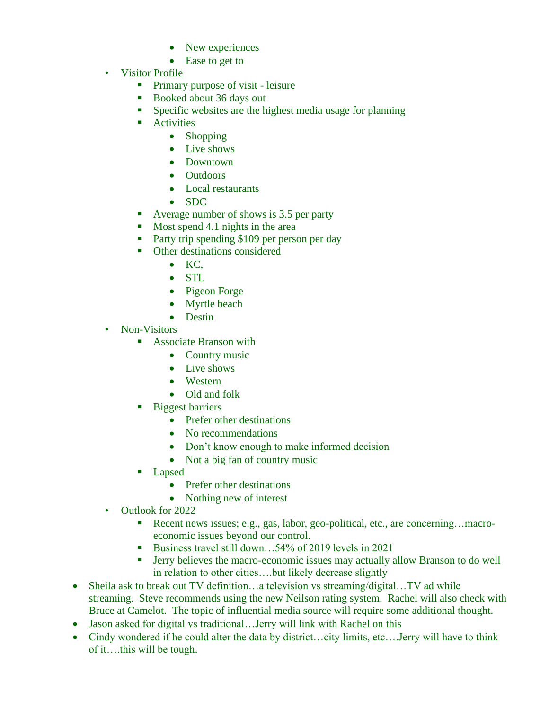- New experiences
- Ease to get to
- Visitor Profile
	- Primary purpose of visit leisure
	- Booked about 36 days out
	- **•** Specific websites are the highest media usage for planning
	- Activities
		- Shopping
		- Live shows
		- Downtown
		- Outdoors
		- Local restaurants
		- SDC
	- Average number of shows is 3.5 per party
	- Most spend 4.1 nights in the area
	- Party trip spending \$109 per person per day
	- Other destinations considered
		- KC,
		- STL
		- Pigeon Forge
		- Myrtle beach
		- Destin
- Non-Visitors
	- Associate Branson with
		- Country music
		- Live shows
		- Western
		- Old and folk
	- Biggest barriers
		- Prefer other destinations
		- No recommendations
		- Don't know enough to make informed decision
		- Not a big fan of country music
	- Lapsed
		- Prefer other destinations
		- Nothing new of interest
- Outlook for 2022
	- Recent news issues; e.g., gas, labor, geo-political, etc., are concerning…macroeconomic issues beyond our control.
	- Business travel still down... $54\%$  of 2019 levels in 2021
	- Jerry believes the macro-economic issues may actually allow Branson to do well in relation to other cities….but likely decrease slightly
- Sheila ask to break out TV definition...a television vs streaming/digital...TV ad while streaming. Steve recommends using the new Neilson rating system. Rachel will also check with Bruce at Camelot. The topic of influential media source will require some additional thought.
- Jason asked for digital vs traditional...Jerry will link with Rachel on this
- Cindy wondered if he could alter the data by district...city limits, etc....Jerry will have to think of it….this will be tough.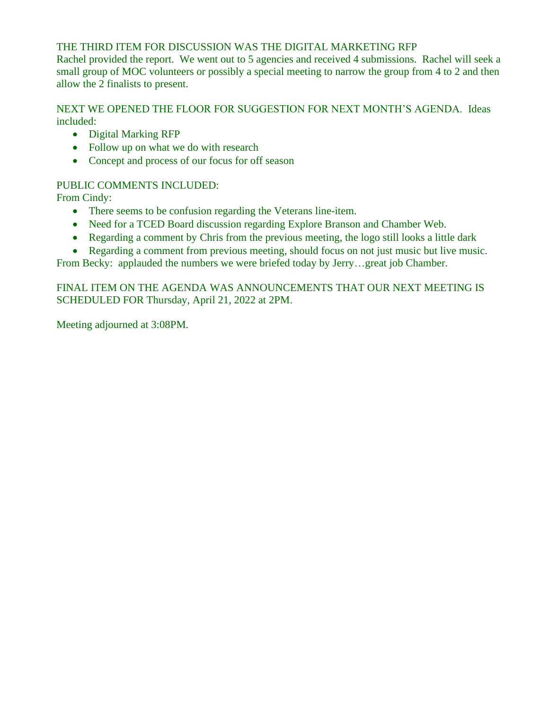# THE THIRD ITEM FOR DISCUSSION WAS THE DIGITAL MARKETING RFP

Rachel provided the report. We went out to 5 agencies and received 4 submissions. Rachel will seek a small group of MOC volunteers or possibly a special meeting to narrow the group from 4 to 2 and then allow the 2 finalists to present.

NEXT WE OPENED THE FLOOR FOR SUGGESTION FOR NEXT MONTH'S AGENDA. Ideas included:

- Digital Marking RFP
- Follow up on what we do with research
- Concept and process of our focus for off season

# PUBLIC COMMENTS INCLUDED:

From Cindy:

- There seems to be confusion regarding the Veterans line-item.
- Need for a TCED Board discussion regarding Explore Branson and Chamber Web.
- Regarding a comment by Chris from the previous meeting, the logo still looks a little dark
- Regarding a comment from previous meeting, should focus on not just music but live music.

From Becky: applauded the numbers we were briefed today by Jerry…great job Chamber.

# FINAL ITEM ON THE AGENDA WAS ANNOUNCEMENTS THAT OUR NEXT MEETING IS SCHEDULED FOR Thursday, April 21, 2022 at 2PM.

Meeting adjourned at 3:08PM.